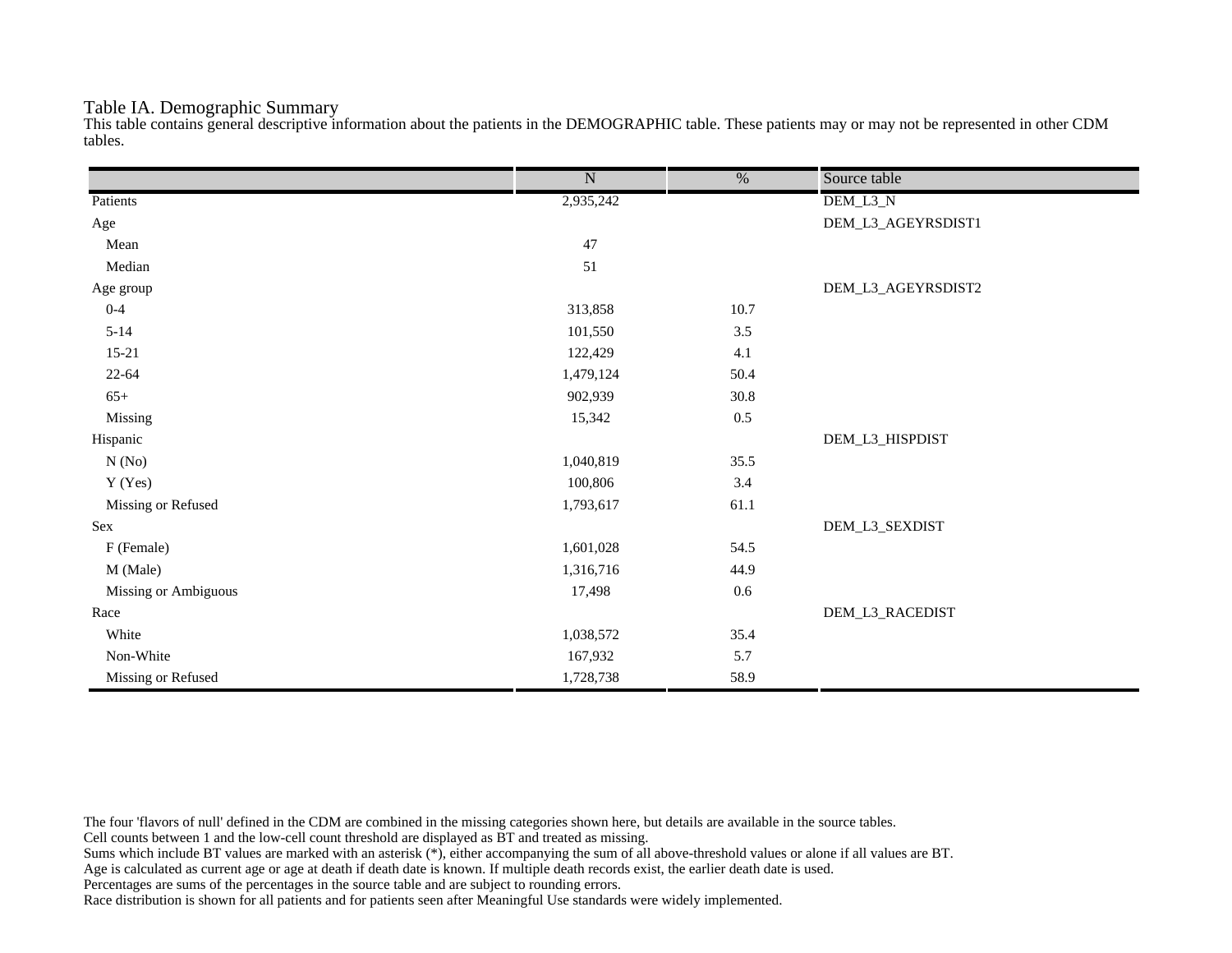## Table IA. Demographic Summary

This table contains general descriptive information about the patients in the DEMOGRAPHIC table. These patients may or may not be represented in other CDM tables.

|                      | $\overline{\text{N}}$ | $\overline{\%}$ | Source table       |
|----------------------|-----------------------|-----------------|--------------------|
| Patients             | 2,935,242             |                 | DEM_L3_N           |
| Age                  |                       |                 | DEM_L3_AGEYRSDIST1 |
| Mean                 | 47                    |                 |                    |
| Median               | 51                    |                 |                    |
| Age group            |                       |                 | DEM_L3_AGEYRSDIST2 |
| $0 - 4$              | 313,858               | 10.7            |                    |
| $5 - 14$             | 101,550               | 3.5             |                    |
| $15 - 21$            | 122,429               | 4.1             |                    |
| $22 - 64$            | 1,479,124             | 50.4            |                    |
| $65+$                | 902,939               | 30.8            |                    |
| Missing              | 15,342                | $0.5\,$         |                    |
| Hispanic             |                       |                 | DEM_L3_HISPDIST    |
| N(No)                | 1,040,819             | 35.5            |                    |
| Y (Yes)              | 100,806               | 3.4             |                    |
| Missing or Refused   | 1,793,617             | 61.1            |                    |
| Sex                  |                       |                 | DEM_L3_SEXDIST     |
| F (Female)           | 1,601,028             | 54.5            |                    |
| M (Male)             | 1,316,716             | 44.9            |                    |
| Missing or Ambiguous | 17,498                | $0.6\,$         |                    |
| Race                 |                       |                 | DEM_L3_RACEDIST    |
| White                | 1,038,572             | 35.4            |                    |
| Non-White            | 167,932               | 5.7             |                    |
| Missing or Refused   | 1,728,738             | 58.9            |                    |

The four 'flavors of null' defined in the CDM are combined in the missing categories shown here, but details are available in the source tables.

Cell counts between 1 and the low-cell count threshold are displayed as BT and treated as missing.

Sums which include BT values are marked with an asterisk (\*), either accompanying the sum of all above-threshold values or alone if all values are BT.

Age is calculated as current age or age at death if death date is known. If multiple death records exist, the earlier death date is used.

Percentages are sums of the percentages in the source table and are subject to rounding errors.

Race distribution is shown for all patients and for patients seen after Meaningful Use standards were widely implemented.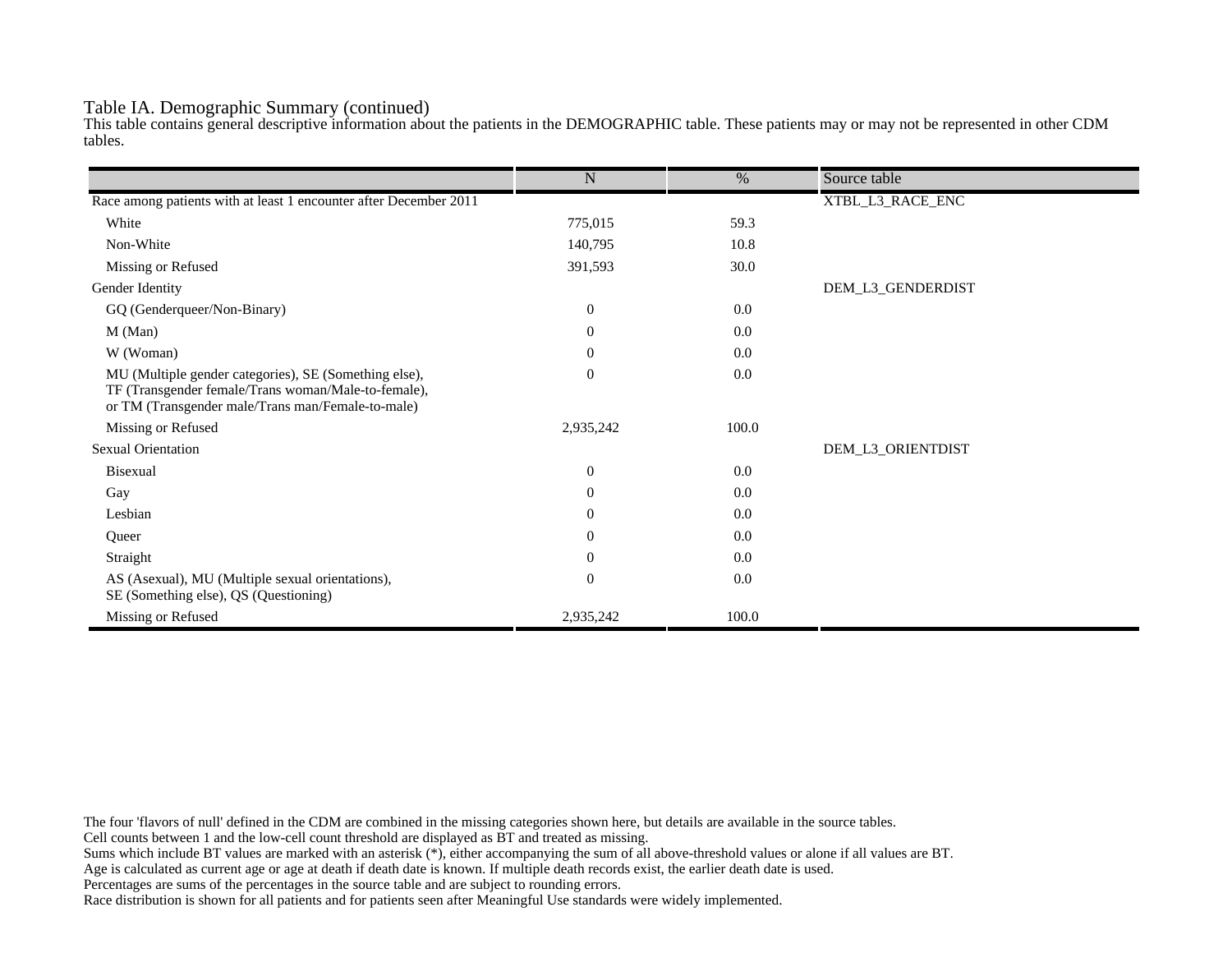## Table IA. Demographic Summary (continued)

This table contains general descriptive information about the patients in the DEMOGRAPHIC table. These patients may or may not be represented in other CDM tables.

|                                                                                                                                                                   | $\mathbf N$      | $\%$  | Source table      |
|-------------------------------------------------------------------------------------------------------------------------------------------------------------------|------------------|-------|-------------------|
|                                                                                                                                                                   |                  |       |                   |
| Race among patients with at least 1 encounter after December 2011                                                                                                 |                  |       | XTBL_L3_RACE_ENC  |
| White                                                                                                                                                             | 775,015          | 59.3  |                   |
| Non-White                                                                                                                                                         | 140,795          | 10.8  |                   |
| Missing or Refused                                                                                                                                                | 391,593          | 30.0  |                   |
| Gender Identity                                                                                                                                                   |                  |       | DEM_L3_GENDERDIST |
| GQ (Genderqueer/Non-Binary)                                                                                                                                       | $\overline{0}$   | 0.0   |                   |
| M (Man)                                                                                                                                                           | $\theta$         | 0.0   |                   |
| W (Woman)                                                                                                                                                         | $\boldsymbol{0}$ | 0.0   |                   |
| MU (Multiple gender categories), SE (Something else),<br>TF (Transgender female/Trans woman/Male-to-female),<br>or TM (Transgender male/Trans man/Female-to-male) | $\mathbf{0}$     | 0.0   |                   |
| Missing or Refused                                                                                                                                                | 2,935,242        | 100.0 |                   |
| <b>Sexual Orientation</b>                                                                                                                                         |                  |       | DEM_L3_ORIENTDIST |
| <b>Bisexual</b>                                                                                                                                                   | $\mathbf{0}$     | 0.0   |                   |
| Gay                                                                                                                                                               | $\overline{0}$   | 0.0   |                   |
| Lesbian                                                                                                                                                           | $\overline{0}$   | 0.0   |                   |
| Queer                                                                                                                                                             | $\overline{0}$   | 0.0   |                   |
| Straight                                                                                                                                                          | $\theta$         | 0.0   |                   |
| AS (Asexual), MU (Multiple sexual orientations),<br>SE (Something else), QS (Questioning)                                                                         | $\mathbf{0}$     | 0.0   |                   |
| Missing or Refused                                                                                                                                                | 2,935,242        | 100.0 |                   |

The four 'flavors of null' defined in the CDM are combined in the missing categories shown here, but details are available in the source tables.

Cell counts between 1 and the low-cell count threshold are displayed as BT and treated as missing.

Sums which include BT values are marked with an asterisk (\*), either accompanying the sum of all above-threshold values or alone if all values are BT.

Age is calculated as current age or age at death if death date is known. If multiple death records exist, the earlier death date is used.

Percentages are sums of the percentages in the source table and are subject to rounding errors.

Race distribution is shown for all patients and for patients seen after Meaningful Use standards were widely implemented.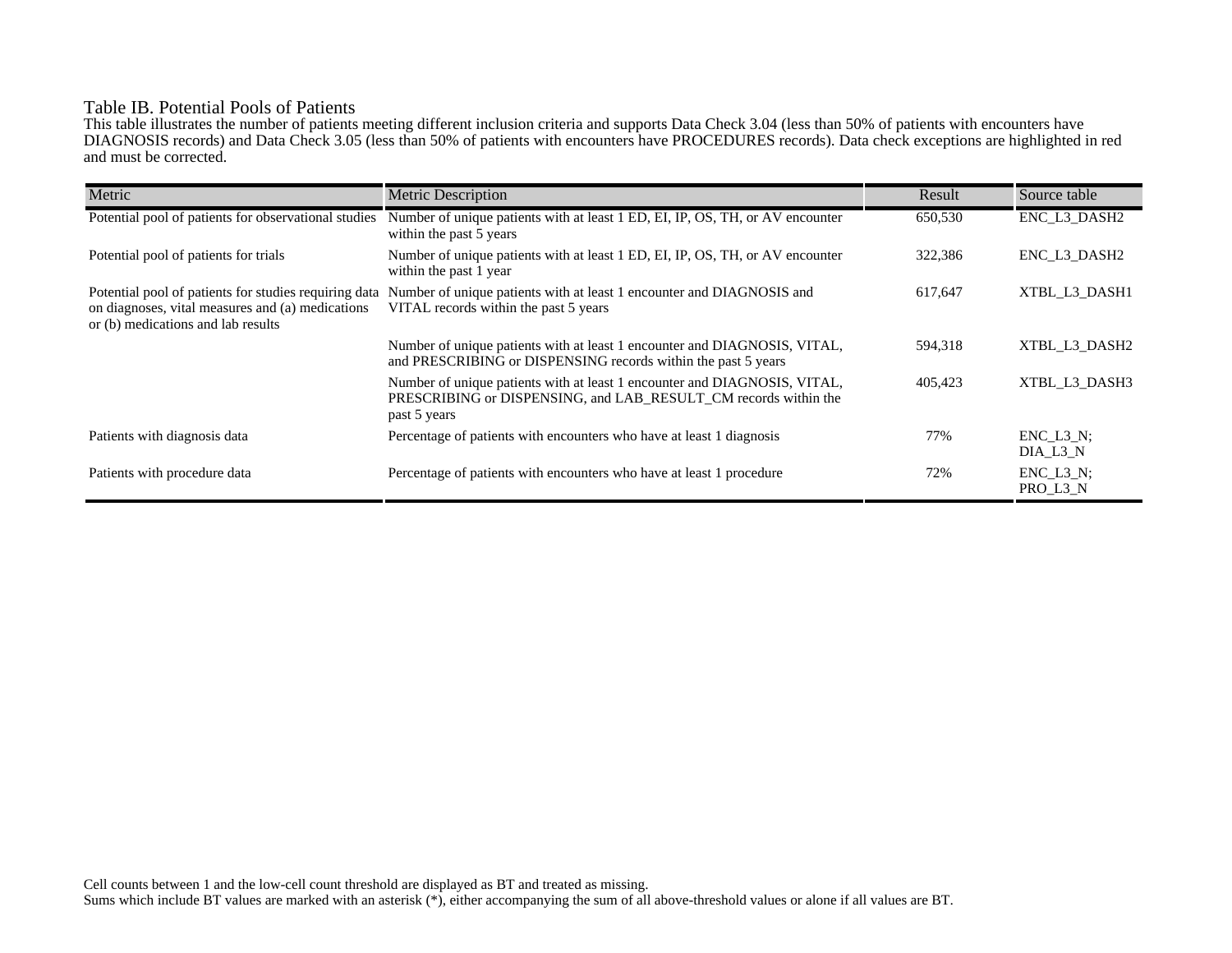# Table IB. Potential Pools of Patients

This table illustrates the number of patients meeting different inclusion criteria and supports Data Check 3.04 (less than 50% of patients with encounters have DIAGNOSIS records) and Data Check 3.05 (less than 50% of patients with encounters have PROCEDURES records). Data check exceptions are highlighted in red and must be corrected.

| Metric                                                                                                                                          | <b>Metric Description</b>                                                                                                                                    | Result  | Source table                 |
|-------------------------------------------------------------------------------------------------------------------------------------------------|--------------------------------------------------------------------------------------------------------------------------------------------------------------|---------|------------------------------|
| Potential pool of patients for observational studies                                                                                            | Number of unique patients with at least 1 ED, EI, IP, OS, TH, or AV encounter<br>within the past 5 years                                                     | 650,530 | ENC_L3_DASH2                 |
| Potential pool of patients for trials                                                                                                           | Number of unique patients with at least 1 ED, EI, IP, OS, TH, or AV encounter<br>within the past 1 year                                                      | 322,386 | ENC L3 DASH2                 |
| Potential pool of patients for studies requiring data<br>on diagnoses, vital measures and (a) medications<br>or (b) medications and lab results | Number of unique patients with at least 1 encounter and DIAGNOSIS and<br>VITAL records within the past 5 years                                               | 617,647 | XTBL L3 DASH1                |
|                                                                                                                                                 | Number of unique patients with at least 1 encounter and DIAGNOSIS, VITAL,<br>and PRESCRIBING or DISPENSING records within the past 5 years                   | 594,318 | XTBL L3 DASH2                |
|                                                                                                                                                 | Number of unique patients with at least 1 encounter and DIAGNOSIS, VITAL,<br>PRESCRIBING or DISPENSING, and LAB RESULT CM records within the<br>past 5 years | 405,423 | XTBL L3 DASH3                |
| Patients with diagnosis data                                                                                                                    | Percentage of patients with encounters who have at least 1 diagnosis                                                                                         | 77%     | $ENC$ $L3$ $N$ ;<br>DIA L3 N |
| Patients with procedure data                                                                                                                    | Percentage of patients with encounters who have at least 1 procedure                                                                                         | 72%     | $ENC_L3_N;$<br>PRO_L3_N      |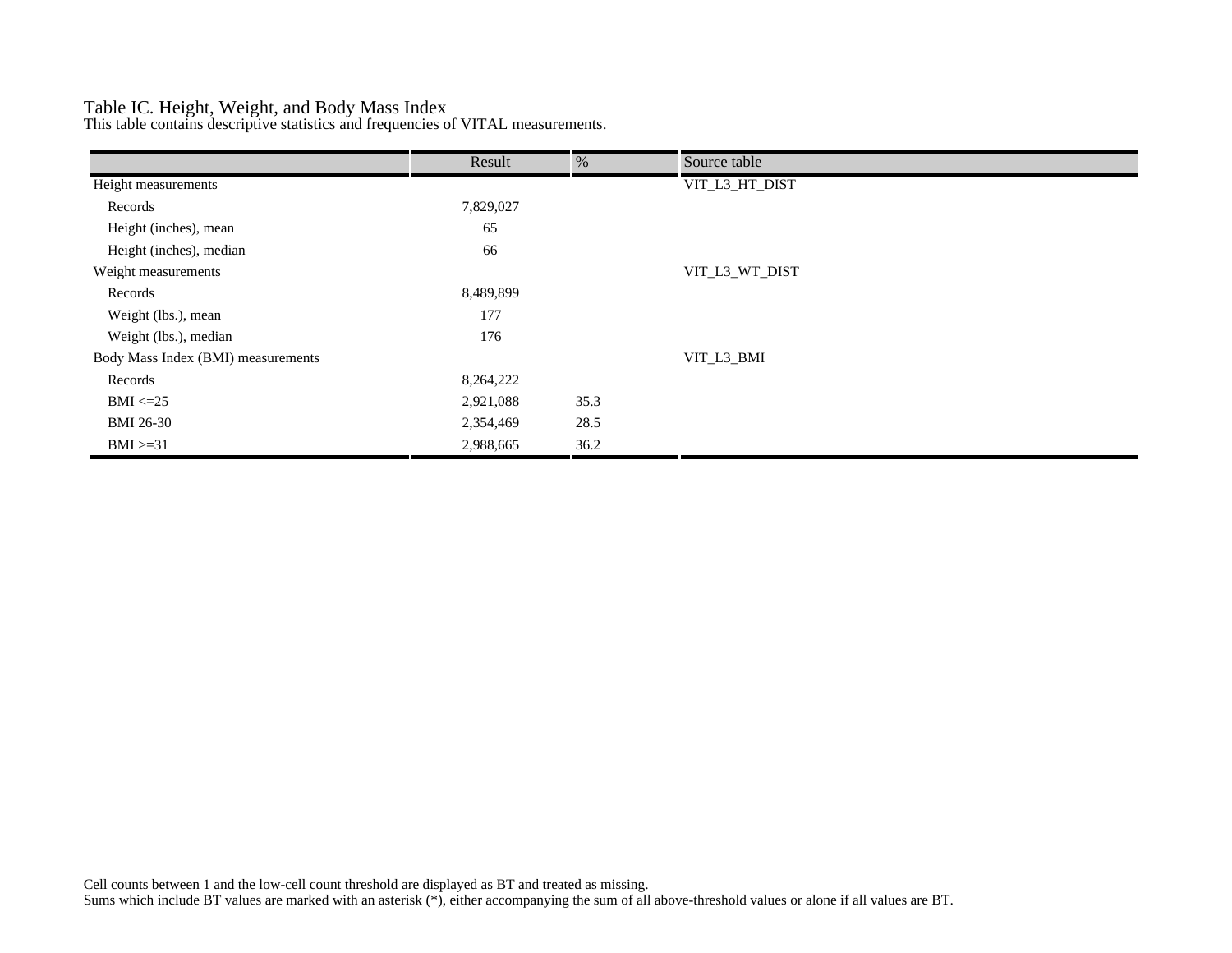# Table IC. Height, Weight, and Body Mass Index

This table contains descriptive statistics and frequencies of VITAL measurements.

|                                    | Result    | $\%$ | Source table   |
|------------------------------------|-----------|------|----------------|
| Height measurements                |           |      | VIT_L3_HT_DIST |
| Records                            | 7,829,027 |      |                |
| Height (inches), mean              | 65        |      |                |
| Height (inches), median            | 66        |      |                |
| Weight measurements                |           |      | VIT_L3_WT_DIST |
| Records                            | 8,489,899 |      |                |
| Weight (lbs.), mean                | 177       |      |                |
| Weight (lbs.), median              | 176       |      |                |
| Body Mass Index (BMI) measurements |           |      | VIT_L3_BMI     |
| Records                            | 8,264,222 |      |                |
| $BMI \leq 25$                      | 2,921,088 | 35.3 |                |
| <b>BMI 26-30</b>                   | 2,354,469 | 28.5 |                |
| $BMI > = 31$                       | 2,988,665 | 36.2 |                |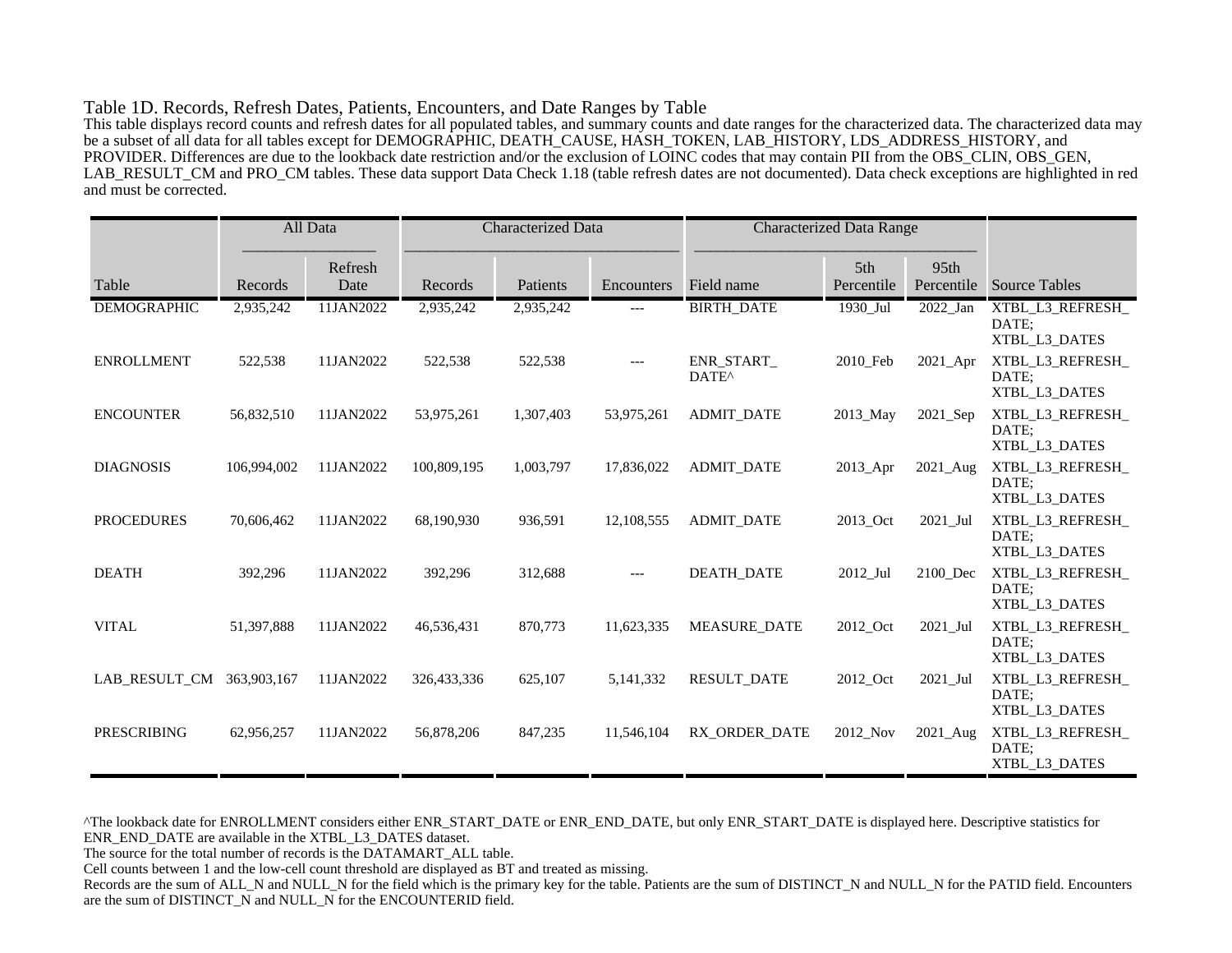#### Table 1D. Records, Refresh Dates, Patients, Encounters, and Date Ranges by Table

This table displays record counts and refresh dates for all populated tables, and summary counts and date ranges for the characterized data. The characterized data may be a subset of all data for all tables except for DEMOGRAPHIC, DEATH\_CAUSE, HASH\_TOKEN, LAB\_HISTORY, LDS\_ADDRESS\_HISTORY, and PROVIDER. Differences are due to the lookback date restriction and/or the exclusion of LOINC codes that may contain PII from the OBS\_CLIN, OBS\_GEN, LAB\_RESULT\_CM and PRO\_CM tables. These data support Data Check 1.18 (table refresh dates are not documented). Data check exceptions are highlighted in red and must be corrected.

|                    |             | All Data        | <b>Characterized Data</b> |           | <b>Characterized Data Range</b> |                                 |                   |                    |                                            |
|--------------------|-------------|-----------------|---------------------------|-----------|---------------------------------|---------------------------------|-------------------|--------------------|--------------------------------------------|
| Table              | Records     | Refresh<br>Date | Records                   | Patients  | Encounters                      | Field name                      | 5th<br>Percentile | 95th<br>Percentile | <b>Source Tables</b>                       |
| <b>DEMOGRAPHIC</b> | 2,935,242   | 11JAN2022       | 2,935,242                 | 2,935,242 | ---                             | <b>BIRTH_DATE</b>               | 1930_Jul          | 2022_Jan           | XTBL_L3_REFRESH_<br>DATE;<br>XTBL L3 DATES |
| <b>ENROLLMENT</b>  | 522,538     | 11JAN2022       | 522,538                   | 522,538   | $---$                           | ENR_START_<br>DATE <sup>^</sup> | 2010_Feb          | $2021$ Apr         | XTBL_L3_REFRESH_<br>DATE:<br>XTBL_L3_DATES |
| <b>ENCOUNTER</b>   | 56,832,510  | 11JAN2022       | 53,975,261                | 1,307,403 | 53,975,261                      | <b>ADMIT DATE</b>               | 2013_May          | 2021 Sep           | XTBL_L3_REFRESH_<br>DATE:<br>XTBL_L3_DATES |
| <b>DIAGNOSIS</b>   | 106,994,002 | 11JAN2022       | 100,809,195               | 1,003,797 | 17,836,022                      | <b>ADMIT_DATE</b>               | 2013_Apr          | 2021_Aug           | XTBL_L3_REFRESH_<br>DATE:<br>XTBL_L3_DATES |
| <b>PROCEDURES</b>  | 70,606,462  | 11JAN2022       | 68,190,930                | 936,591   | 12,108,555                      | <b>ADMIT DATE</b>               | 2013_Oct          | 2021 Jul           | XTBL L3 REFRESH<br>DATE:<br>XTBL_L3_DATES  |
| <b>DEATH</b>       | 392,296     | 11JAN2022       | 392,296                   | 312,688   | $---$                           | <b>DEATH DATE</b>               | 2012_Jul          | 2100 Dec           | XTBL_L3_REFRESH_<br>DATE:<br>XTBL_L3_DATES |
| <b>VITAL</b>       | 51,397,888  | 11JAN2022       | 46,536,431                | 870,773   | 11,623,335                      | <b>MEASURE DATE</b>             | 2012_Oct          | $2021$ _Jul        | XTBL_L3_REFRESH_<br>DATE:<br>XTBL L3 DATES |
| LAB_RESULT_CM      | 363,903,167 | 11JAN2022       | 326,433,336               | 625,107   | 5,141,332                       | <b>RESULT_DATE</b>              | 2012_Oct          | $2021$ _Jul        | XTBL_L3_REFRESH_<br>DATE;<br>XTBL_L3_DATES |
| <b>PRESCRIBING</b> | 62,956,257  | 11JAN2022       | 56,878,206                | 847,235   | 11,546,104                      | RX ORDER DATE                   | 2012 Nov          | 2021_Aug           | XTBL_L3_REFRESH_<br>DATE:<br>XTBL_L3_DATES |

^The lookback date for ENROLLMENT considers either ENR\_START\_DATE or ENR\_END\_DATE, but only ENR\_START\_DATE is displayed here. Descriptive statistics for ENR\_END\_DATE are available in the XTBL\_L3\_DATES dataset.

The source for the total number of records is the DATAMART\_ALL table.

Cell counts between 1 and the low-cell count threshold are displayed as BT and treated as missing.

Records are the sum of ALL\_N and NULL\_N for the field which is the primary key for the table. Patients are the sum of DISTINCT\_N and NULL\_N for the PATID field. Encounters are the sum of DISTINCT\_N and NULL\_N for the ENCOUNTERID field.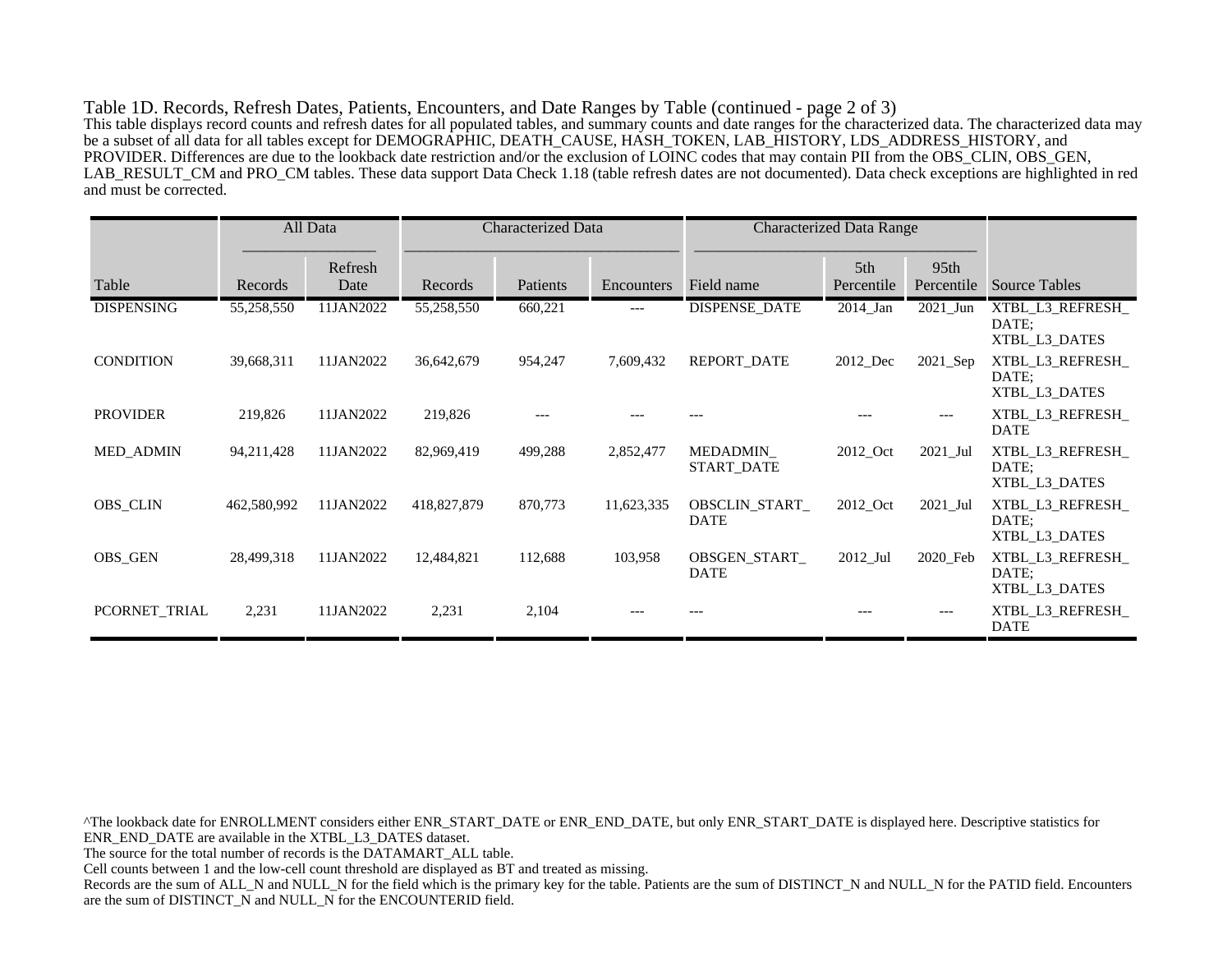Table 1D. Records, Refresh Dates, Patients, Encounters, and Date Ranges by Table (continued - page 2 of 3) This table displays record counts and refresh dates for all populated tables, and summary counts and date ranges for the characterized data. The characterized data may be a subset of all data for all tables except for DEMOGRAPHIC, DEATH\_CAUSE, HASH\_TOKEN, LAB\_HISTORY, LDS\_ADDRESS\_HISTORY, and PROVIDER. Differences are due to the lookback date restriction and/or the exclusion of LOINC codes that may contain PII from the OBS\_CLIN, OBS\_GEN, LAB\_RESULT\_CM and PRO\_CM tables. These data support Data Check 1.18 (table refresh dates are not documented). Data check exceptions are highlighted in red and must be corrected.

|                   |             | All Data        | Characterized Data |          |            | <b>Characterized Data Range</b> |                   |                                |                                            |
|-------------------|-------------|-----------------|--------------------|----------|------------|---------------------------------|-------------------|--------------------------------|--------------------------------------------|
| Table             | Records     | Refresh<br>Date | Records            | Patients | Encounters | Field name                      | 5th<br>Percentile | 95 <sub>th</sub><br>Percentile | <b>Source Tables</b>                       |
| <b>DISPENSING</b> | 55,258,550  | 11JAN2022       | 55,258,550         | 660,221  | $---$      | <b>DISPENSE DATE</b>            | $2014$ _Jan       | $2021$ Jun                     | XTBL_L3_REFRESH_<br>DATE:<br>XTBL_L3_DATES |
| <b>CONDITION</b>  | 39,668,311  | 11JAN2022       | 36,642,679         | 954,247  | 7,609,432  | <b>REPORT DATE</b>              | 2012 Dec          | $2021$ Sep                     | XTBL L3 REFRESH<br>DATE:<br>XTBL L3 DATES  |
| <b>PROVIDER</b>   | 219,826     | 11JAN2022       | 219,826            |          |            |                                 |                   | ---                            | XTBL L3 REFRESH<br><b>DATE</b>             |
| <b>MED_ADMIN</b>  | 94,211,428  | 11JAN2022       | 82,969,419         | 499,288  | 2,852,477  | MEDADMIN_<br>START_DATE         | 2012_Oct          | $2021$ _Jul                    | XTBL_L3_REFRESH_<br>DATE:<br>XTBL L3 DATES |
| <b>OBS_CLIN</b>   | 462,580,992 | 11JAN2022       | 418,827,879        | 870,773  | 11,623,335 | OBSCLIN_START_<br><b>DATE</b>   | 2012_Oct          | 2021_Jul                       | XTBL_L3_REFRESH_<br>DATE:<br>XTBL L3 DATES |
| OBS_GEN           | 28,499,318  | 11JAN2022       | 12,484,821         | 112,688  | 103,958    | OBSGEN_START_<br><b>DATE</b>    | $2012$ _Jul       | 2020_Feb                       | XTBL_L3_REFRESH_<br>DATE:<br>XTBL_L3_DATES |
| PCORNET_TRIAL     | 2,231       | 11JAN2022       | 2,231              | 2,104    |            |                                 |                   | ---                            | XTBL_L3_REFRESH_<br>DATE                   |

^The lookback date for ENROLLMENT considers either ENR\_START\_DATE or ENR\_END\_DATE, but only ENR\_START\_DATE is displayed here. Descriptive statistics for ENR\_END\_DATE are available in the XTBL\_L3\_DATES dataset. The source for the total number of records is the DATAMART\_ALL table. Cell counts between 1 and the low-cell count threshold are displayed as BT and treated as missing. Records are the sum of ALL\_N and NULL\_N for the field which is the primary key for the table. Patients are the sum of DISTINCT\_N and NULL\_N for the PATID field. Encounters are the sum of DISTINCT\_N and NULL\_N for the ENCOUNTERID field.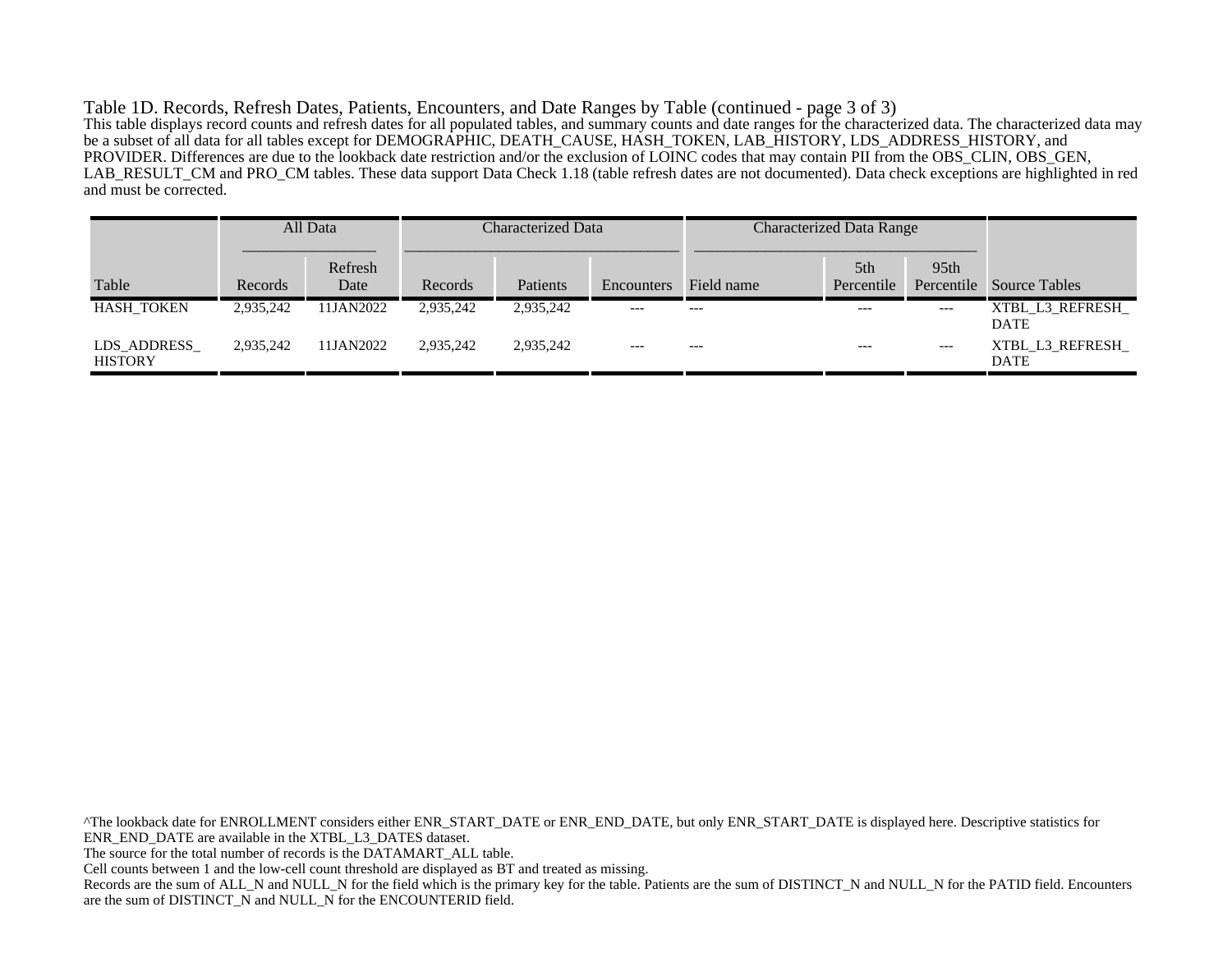Table 1D. Records, Refresh Dates, Patients, Encounters, and Date Ranges by Table (continued - page 3 of 3) This table displays record counts and refresh dates for all populated tables, and summary counts and date ranges for the characterized data. The characterized data may be a subset of all data for all tables except for DEMOGRAPHIC, DEATH\_CAUSE, HASH\_TOKEN, LAB\_HISTORY, LDS\_ADDRESS\_HISTORY, and PROVIDER. Differences are due to the lookback date restriction and/or the exclusion of LOINC codes that may contain PII from the OBS\_CLIN, OBS\_GEN, LAB\_RESULT\_CM and PRO\_CM tables. These data support Data Check 1.18 (table refresh dates are not documented). Data check exceptions are highlighted in red and must be corrected.

|                               |           | All Data        |           | Characterized Data |                   | <b>Characterized Data Range</b> |                               |                                |                                |
|-------------------------------|-----------|-----------------|-----------|--------------------|-------------------|---------------------------------|-------------------------------|--------------------------------|--------------------------------|
| Table                         | Records   | Refresh<br>Date | Records   | Patients           | <b>Encounters</b> | Field name                      | 5 <sup>th</sup><br>Percentile | 95 <sub>th</sub><br>Percentile | <b>Source Tables</b>           |
| <b>HASH TOKEN</b>             | 2,935,242 | 11JAN2022       | 2,935,242 | 2,935,242          | $---$             | $---$                           | $---$                         | $---$                          | XTBL L3 REFRESH<br><b>DATE</b> |
| LDS ADDRESS<br><b>HISTORY</b> | 2.935.242 | 11JAN2022       | 2.935.242 | 2.935.242          | $---$             | $---$                           | $---$                         | $---$                          | XTBL L3 REFRESH<br><b>DATE</b> |

^The lookback date for ENROLLMENT considers either ENR\_START\_DATE or ENR\_END\_DATE, but only ENR\_START\_DATE is displayed here. Descriptive statistics for ENR\_END\_DATE are available in the XTBL\_L3\_DATES dataset. The source for the total number of records is the DATAMART\_ALL table. Cell counts between 1 and the low-cell count threshold are displayed as BT and treated as missing. Records are the sum of ALL\_N and NULL\_N for the field which is the primary key for the table. Patients are the sum of DISTINCT\_N and NULL\_N for the PATID field. Encounters are the sum of DISTINCT\_N and NULL\_N for the ENCOUNTERID field.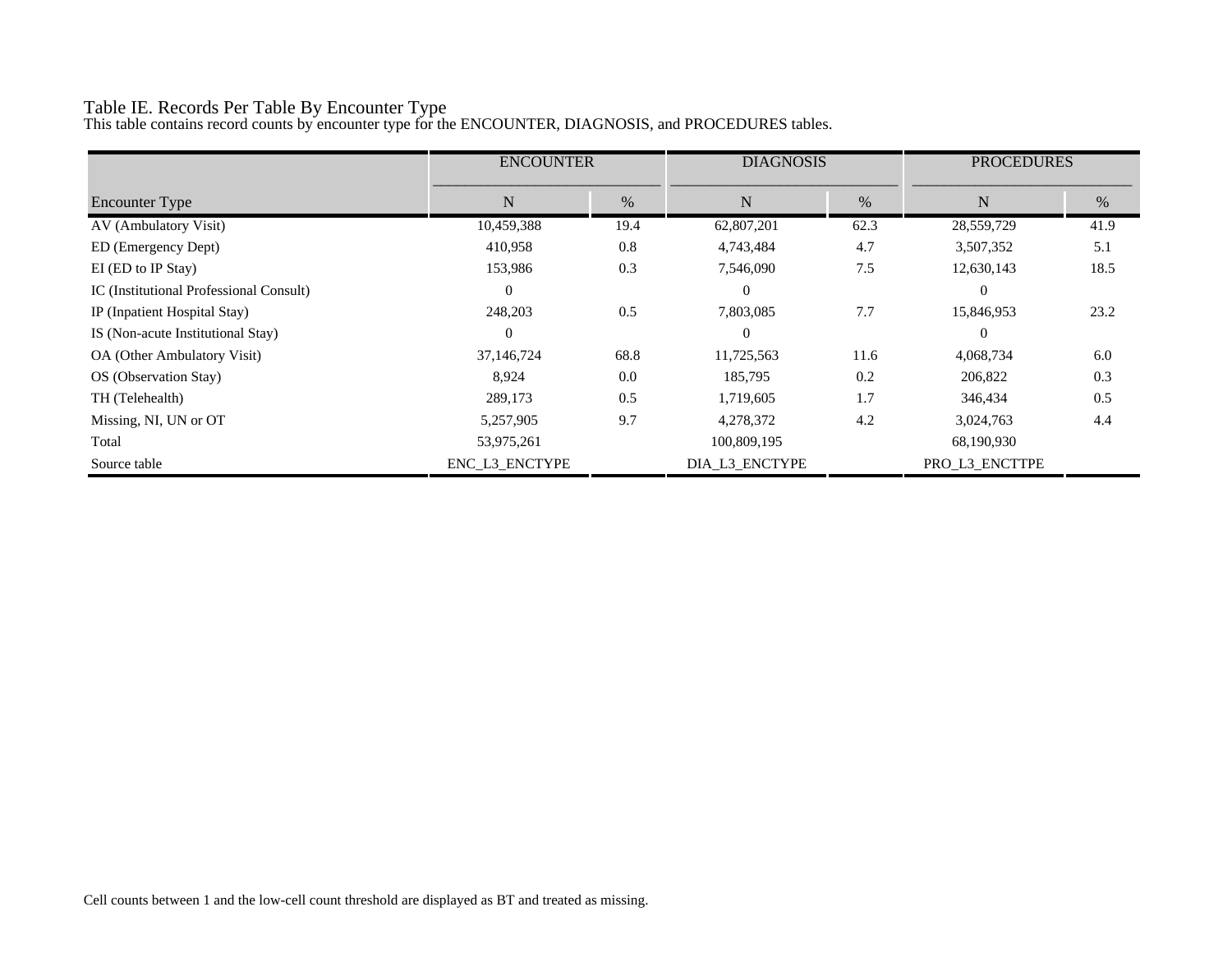# Table IE. Records Per Table By Encounter Type

This table contains record counts by encounter type for the ENCOUNTER, DIAGNOSIS, and PROCEDURES tables.

|                                         | <b>ENCOUNTER</b> |      | <b>DIAGNOSIS</b> |      | <b>PROCEDURES</b> |      |
|-----------------------------------------|------------------|------|------------------|------|-------------------|------|
| Encounter Type                          | N                | $\%$ | N                | $\%$ | N                 | $\%$ |
| AV (Ambulatory Visit)                   | 10,459,388       | 19.4 | 62,807,201       | 62.3 | 28,559,729        | 41.9 |
| ED (Emergency Dept)                     | 410,958          | 0.8  | 4,743,484        | 4.7  | 3,507,352         | 5.1  |
| EI (ED to IP Stay)                      | 153,986          | 0.3  | 7,546,090        | 7.5  | 12,630,143        | 18.5 |
| IC (Institutional Professional Consult) | $\theta$         |      | $\theta$         |      | $\Omega$          |      |
| IP (Inpatient Hospital Stay)            | 248,203          | 0.5  | 7,803,085        | 7.7  | 15,846,953        | 23.2 |
| IS (Non-acute Institutional Stay)       | $\theta$         |      | $\theta$         |      | $\Omega$          |      |
| OA (Other Ambulatory Visit)             | 37,146,724       | 68.8 | 11,725,563       | 11.6 | 4,068,734         | 6.0  |
| OS (Observation Stay)                   | 8.924            | 0.0  | 185,795          | 0.2  | 206,822           | 0.3  |
| TH (Telehealth)                         | 289,173          | 0.5  | 1,719,605        | 1.7  | 346,434           | 0.5  |
| Missing, NI, UN or OT                   | 5,257,905        | 9.7  | 4,278,372        | 4.2  | 3,024,763         | 4.4  |
| Total                                   | 53,975,261       |      | 100,809,195      |      | 68,190,930        |      |
| Source table                            | ENC L3 ENCTYPE   |      | DIA_L3_ENCTYPE   |      | PRO L3 ENCTTPE    |      |